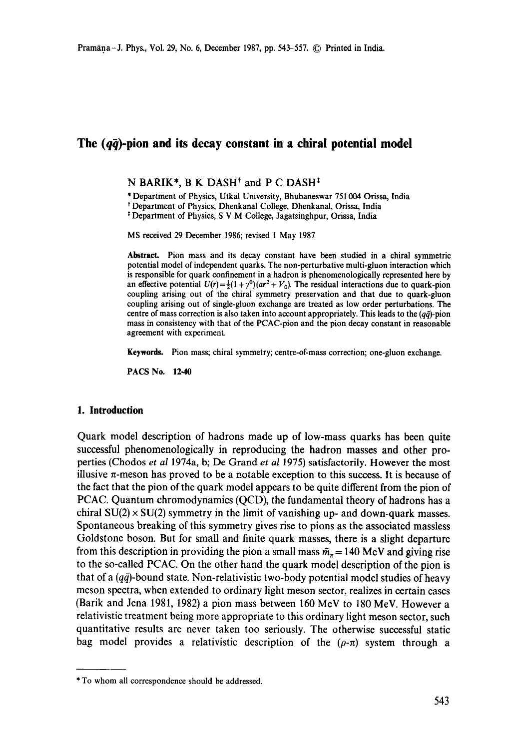# The  $(q\bar{q})$ -pion and its decay constant in a chiral potential model

#### N BARIK\*, B K DASH<sup>†</sup> and P C DASH<sup>‡</sup>

\* Department of Physics, Utkal University, Bhubaneswar 751004 Orissa, India

t Department of Physics, Dhenkanal College, Dhenkanal, Orissa, India

: Department of Physics, S V M College, Jagatsinghpur, Orissa, India

MS received 29 December 1986; revised 1 May 1987

**Abstract.** Pion mass and its decay constant have been studied in a chiral symmetric potential model of independent quarks. The non-perturbative multi-gluon interaction which is responsible for quark confinement in a hadron is phenomenologically represented here by an effective potential  $U(r) = \frac{1}{2}(1 + r^0)(ar^2 + V_0)$ . The residual interactions due to quark-pion coupling arising out of the chiral symmetry preservation and that due to quark-gluon coupling arising out of single-gluon exchange are treated as low order perturbations. The centre of mass correction is also taken into account appropriately. This leads to the  $(q\bar{q})$ -pion mass in consistency with that of the PCAC-pion and the pion decay constant in reasonable agreement with experiment.

Keywords. Pion mass; chiral symmetry; centre-of-mass correction; one-gluon exchange.

PACS No. 12.40

# **1. Introduction**

Quark model description of hadrons made up of low-mass quarks has been quite successful phenomenologically in reproducing the hadron masses and other properties (Chodos *et al* 1974a, b; De Grand *et al* 1975) satisfactorily. However the most illusive  $\pi$ -meson has proved to be a notable exception to this success. It is because of the fact that the pion of the quark model appears to be quite different from the pion of PCAC. Quantum chromodynamics (QCD), the fundamental theory of hadrons has a chiral  $SU(2) \times SU(2)$  symmetry in the limit of vanishing up- and down-quark masses. Spontaneous breaking of this symmetry gives rise to pions as the associated massless Goldstone boson. But for small and finite quark masses, there is a slight departure from this description in providing the pion a small mass  $\tilde{m}_{\tau} = 140$  MeV and giving rise to the so-called PCAC. On the other hand the quark model description of the pion is that of a  $(q\bar{q})$ -bound state. Non-relativistic two-body potential model studies of heavy meson spectra, when extended to ordinary light meson sector, realizes in certain cases (Barik and Jena 1981, 1982) a pion mass between 160 MeV to 180 MeV. However a relativistic treatment being more appropriate to this ordinary light meson sector, such quantitative results are never taken too seriously. The otherwise successful static bag model provides a relativistic description of the  $(\rho-\pi)$  system through a

<sup>\*</sup> To whom all correspondence should be addressed.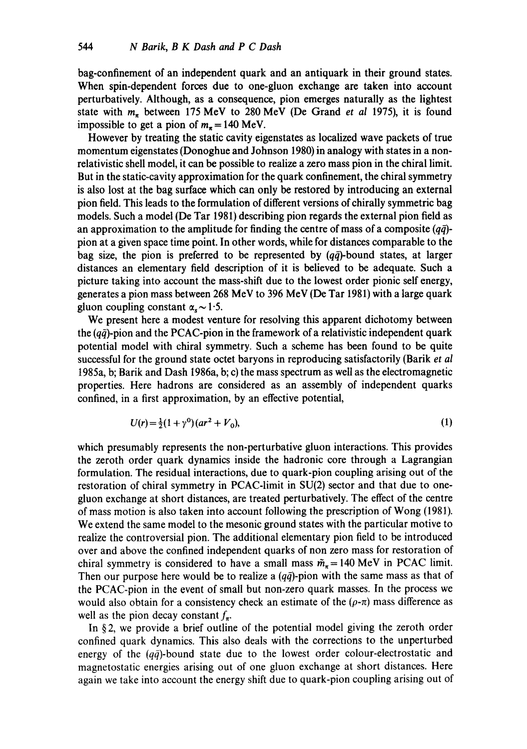bag-confinement of an independent quark and an antiquark in their ground states. When spin-dependent forces due to one-gluon exchange are taken into account perturbatively. Although, as a consequence, pion emerges naturally as the lightest state with m~ between 175 MeV to 280 MeV (De Grand *et al* 1975), it is found impossible to get a pion of  $m_{\pi} = 140$  MeV.

However by treating the static cavity eigenstates as localized wave packets of true momentum eigenstates (Donoghue and Johnson 1980) in analogy with states in a nonrelativistic shell model, it can be possible to realize a zero mass pion in the chiral limit. But in the static-cavity approximation for the quark confinement, the chiral symmetry is also lost at the bag surface which can only be restored by introducing an external pion field. This leads to the formulation of different versions of chirally symmetric bag models. Such a model (De Tar 1981) describing pion regards the external pion field as an approximation to the amplitude for finding the centre of mass of a composite  $(q\bar{q})$ pion at a given space time point. In other words, while for distances comparable to the bag size, the pion is preferred to be represented by  $(q\bar{q})$ -bound states, at larger distances an elementary field description of it is believed to be adequate. Such a picture taking into account the mass-shift due to the lowest order pionic self energy, generates a pion mass between 268 MeV to 396 MeV (De Tar 1981) with a large quark gluon coupling constant  $\alpha_s \sim 1.5$ .

We present here a modest venture for resolving this apparent dichotomy between the  $(q\bar{q})$ -pion and the PCAC-pion in the framework of a relativistic independent quark potential model with chiral symmetry. Such a scheme has been found to be quite successful for the ground state octet baryons in reproducing satisfactorily (Barik *et al*  t985a, b; Barik and Dash I986a, b; c) the mass spectrum as well as the electromagnetic properties. Here hadrons are considered as an assembly of independent quarks confined, in a first approximation, by an effective potential,

$$
U(r) = \frac{1}{2}(1 + \gamma^0)(ar^2 + V_0),\tag{1}
$$

which presumably represents the non-perturbative gluon interactions. This provides the zeroth order quark dynamics inside the hadronic core through a Lagrangian formulation. The residual interactions, due to quark-pion coupling arising out of the restoration of chiral symmetry in PCAC-limit in SU(2) sector and that due to onegluon exchange at short distances, are treated perturbatively. The effect of the centre of mass motion is also taken into account following the prescription of Wong (1981). We extend the same model to the mesonic ground states with the particular motive to realize the controversial pion. The additional elementary pion field to be introduced over and above the confined independent quarks of non zero mass for restoration of chiral symmetry is considered to have a small mass  $\tilde{m}_{\pi} = 140 \text{ MeV}$  in PCAC limit. Then our purpose here would be to realize a  $(q\bar{q})$ -pion with the same mass as that of the PCAC-pion in the event of small but non-zero quark masses. In the process we would also obtain for a consistency check an estimate of the  $(\rho-\pi)$  mass difference as well as the pion decay constant  $f_{\pi}$ .

In § 2, we provide a brief outline of the potential model giving the zeroth order confined quark dynamics. This also deals with the corrections to the unperturbed energy of the  $(q\bar{q})$ -bound state due to the lowest order colour-electrostatic and magnetostatic energies arising out of one gluon exchange at short distances. Here again we take into account the energy shift due to quark-pion coupling arising out of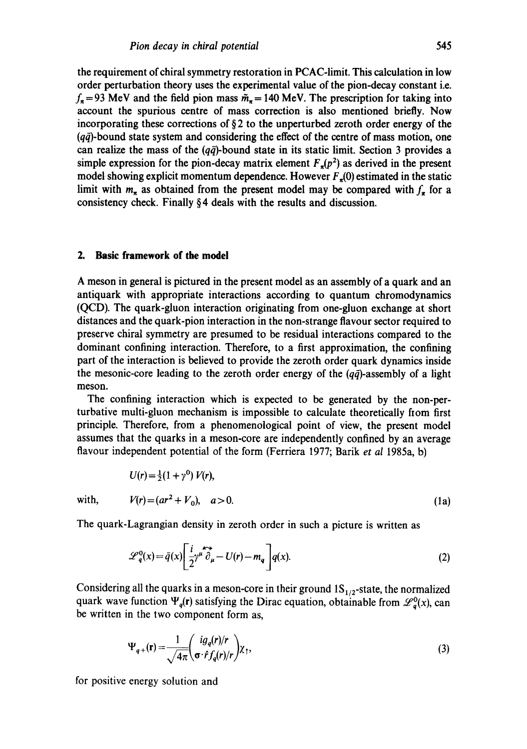the requirement of chiral symmetry restoration in PCAC-limit. This calculation in low order perturbation theory uses the experimental value of the pion-decay constant i.e.  $f_{\pi}$ =93 MeV and the field pion mass  $\tilde{m}_{\pi}$ =140 MeV. The prescription for taking into account the spurious centre of mass correction is also mentioned briefly. Now incorporating these corrections of  $\S 2$  to the unperturbed zeroth order energy of the  $(q\bar{q})$ -bound state system and considering the effect of the centre of mass motion, one can realize the mass of the  $(q\bar{q})$ -bound state in its static limit. Section 3 provides a simple expression for the pion-decay matrix element  $F_{\pi}(p^2)$  as derived in the present model showing explicit momentum dependence. However  $F<sub>z</sub>(0)$  estimated in the static limit with  $m_{\pi}$  as obtained from the present model may be compared with  $f_{\pi}$  for a consistency check. Finally § 4 deals with the results and discussion.

# **2. Basic framework of the model**

A meson in general is pictured in the present model as an assembly of a quark and an antiquark with appropriate interactions according to quantum chromodynamics (QCD). The quark-gluon interaction originating from one-gluon exchange at short distances and the quark-pion interaction in the non-strange flavour sector required to preserve chiral symmetry are presumed to be residual interactions compared to the dominant confining interaction. Therefore, to a first approximation, the confining part of the interaction is believed to provide the zeroth order quark dynamics inside the mesonic-core leading to the zeroth order energy of the  $(q\bar{q})$ -assembly of a light meson.

The confining interaction which is expected to be generated by the non-perturbative multi-gluon mechanism is impossible to calculate theoretically fiom first principle. Therefore, from a phenomenological point of view, the present model assumes that the quarks in a meson-core are independently confined by an average flavour independent potential of the form (Ferriera 1977; Barik *et al* 1985a, b)

$$
U(r) = \frac{1}{2}(1 + \gamma^0) V(r),
$$
  
with,  $V(r) = (ar^2 + V_0), \quad a > 0.$  (1a)

The quark-Lagrangian density in zeroth order in such a picture is written as

$$
\mathscr{L}_q^0(x) = \bar{q}(x) \left[ \frac{i}{2} \gamma^\mu \overleftrightarrow{\partial_\mu} - U(r) - m_q \right] q(x). \tag{2}
$$

Considering all the quarks in a meson-core in their ground  $1S_{1/2}$ -state, the normalized quark wave function  $\Psi_q(\mathbf{r})$  satisfying the Dirac equation, obtainable from  $\mathcal{L}_q^0(x)$ , can be written in the two component form as,

$$
\Psi_{q+}(\mathbf{r}) = \frac{1}{\sqrt{4\pi}} \begin{pmatrix} i g_q(r)/r \\ \sigma \cdot f_q(r)/r \end{pmatrix} \chi_{\uparrow},\tag{3}
$$

for positive energy solution and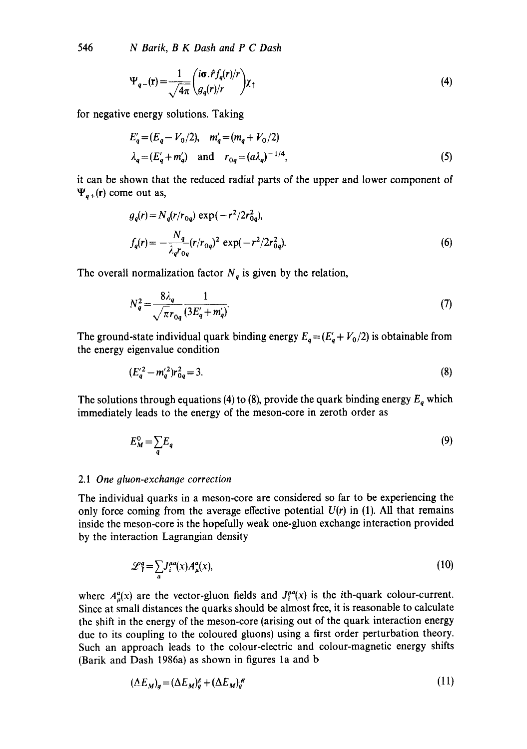546 *N Batik, B K Dash and P C Dash* 

$$
\Psi_{q-}(\mathbf{r}) = \frac{1}{\sqrt{4\pi}} \left( \frac{i\sigma \cdot f_{q}(r)}{g_{q}(r)/r} \right) \chi_{\uparrow} \tag{4}
$$

for negative energy solutions. Taking

$$
E'_{q} = (E_{q} - V_{0}/2), \quad m'_{q} = (m_{q} + V_{0}/2)
$$
  

$$
\lambda_{q} = (E'_{q} + m'_{q}) \quad \text{and} \quad r_{0q} = (a\lambda_{q})^{-1/4},
$$
 (5)

it can be shown that the reduced radial parts of the upper and lower component of  $\Psi_{a+}(\mathbf{r})$  come out as,

$$
g_q(r) = N_q(r/r_{0q}) \exp(-r^2/2r_{0q}^2),
$$
  
\n
$$
f_q(r) = -\frac{N_q}{\lambda_q r_{0q}} (r/r_{0q})^2 \exp(-r^2/2r_{0q}^2).
$$
 (6)

The overall normalization factor  $N_q$  is given by the relation,

$$
N_q^2 = \frac{8\lambda_q}{\sqrt{\pi}r_{0q}} \frac{1}{(3E_q' + m_q')}.
$$
 (7)

The ground-state individual quark binding energy  $E_q = (E_q + V_0/2)$  is obtainable from the energy eigenvalue condition

$$
(E_q'^2 - m_q'^2)r_{0q}^2 = 3.
$$
 (8)

The solutions through equations (4) to (8), provide the quark binding energy  $E_q$  which immediately leads to the energy of the meson-core in zeroth order as

$$
E_M^0 = \sum_q E_q \tag{9}
$$

#### 2.1 *One gluon-exchange correction*

The individual quarks in a meson-core are considered so far to be experiencing the only force coming from the average effective potential  $U(r)$  in (1). All that remains inside the meson-core is the hopefully weak one-gluon exchange interaction provided by the interaction Lagrangian density

$$
\mathcal{L}_I^q = \sum_a J_i^{ua}(x) A_\mu^a(x),\tag{10}
$$

where  $A^a_\mu(x)$  are the vector-gluon fields and  $J^{\mu a}_i(x)$  is the *i*th-quark colour-current. Since at small distances the quarks should be almost free, it is reasonable to calculate the shift in the energy of the meson-core (arising out of the quark interaction energy due to its coupling to the coloured gluons) using a first order perturbation theory. Such an approach leads to the colour-electric and colour-magnetic energy shifts (Barik and Dash 1986a) as shown in figures la and b

$$
(\Delta E_M)_g = (\Delta E_M)_g^{\kappa} + (\Delta E_M)_g^{\kappa} \tag{11}
$$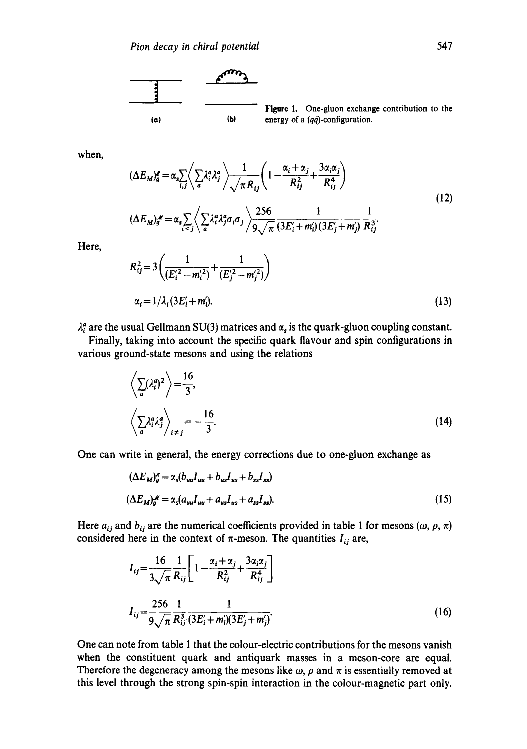

Figure 1. One-gluon exchange contribution to the energy of a  $(q\bar{q})$ -configuration.

when,

$$
(\Delta E_M)_g^{\sigma} = \alpha_s \sum_{i,j} \left\langle \sum_a \lambda_i^a \lambda_j^a \right\rangle \frac{1}{\sqrt{\pi} R_{ij}} \left( 1 - \frac{\alpha_i + \alpha_j}{R_{ij}^2} + \frac{3\alpha_i \alpha_j}{R_{ij}^4} \right)
$$
  

$$
(\Delta E_M)_{g}^{\sigma} = \alpha_s \sum_{i < j} \left\langle \sum_a \lambda_i^a \lambda_j^a \sigma_i \sigma_j \right\rangle \frac{256}{9\sqrt{\pi}} \frac{1}{(3E_i + m_i^2)(3E_j^2 + m_j^2)} \frac{1}{R_{ij}^3}.
$$
 (12)

Here,

$$
R_{ij}^{2} = 3\left(\frac{1}{(E_{i}^{'2} - m_{i}^{'2})} + \frac{1}{(E_{j}^{'2} - m_{j}^{'2})}\right)
$$
  

$$
\alpha_{i} = 1/\lambda_{i} (3E_{i}^{'} + m_{i}^{'})
$$
. (13)

 $\lambda_i^a$  are the usual Gellmann SU(3) matrices and  $\alpha_s$  is the quark-gluon coupling constant.

Finally, taking into account the specific quark flavour and spin configurations in various ground-state mesons and using the relations

$$
\left\langle \sum_{a} (\lambda_i^a)^2 \right\rangle = \frac{16}{3},
$$
\n
$$
\left\langle \sum_{a} \lambda_i^a \lambda_j^a \right\rangle_{i \neq j} = -\frac{16}{3}.
$$
\n(14)

One can write in general, the energy corrections due to one-gluon exchange as

$$
(\Delta E_M)_g^s = \alpha_s (b_{uu} I_{uu} + b_{us} I_{us} + b_{ss} I_{ss})
$$
  

$$
(\Delta E_M)_g^s = \alpha_s (a_{uu} I_{uu} + a_{us} I_{us} + a_{ss} I_{ss}).
$$
 (15)

Here  $a_{ij}$  and  $b_{ij}$  are the numerical coefficients provided in table 1 for mesons  $(\omega, \rho, \pi)$ considered here in the context of  $\pi$ -meson. The quantities  $I_{ij}$  are,

$$
I_{ij} = \frac{16}{3\sqrt{\pi}} \frac{1}{R_{ij}} \left[ 1 - \frac{\alpha_i + \alpha_j}{R_{ij}^2} + \frac{3\alpha_i \alpha_j}{R_{ij}^4} \right]
$$
  

$$
I_{ij} = \frac{256}{9\sqrt{\pi}} \frac{1}{R_{ij}^3} \frac{1}{(3E_i + m_i)(3E_j + m_j)}.
$$
 (16)

One can note from table 1 that the colour-electric contributions for the mesons vanish when the constituent quark and antiquark masses in a meson-core are equal. Therefore the degeneracy among the mesons like  $\omega$ ,  $\rho$  and  $\pi$  is essentially removed at this level through the strong spin-spin interaction in the colour-magnetic part only.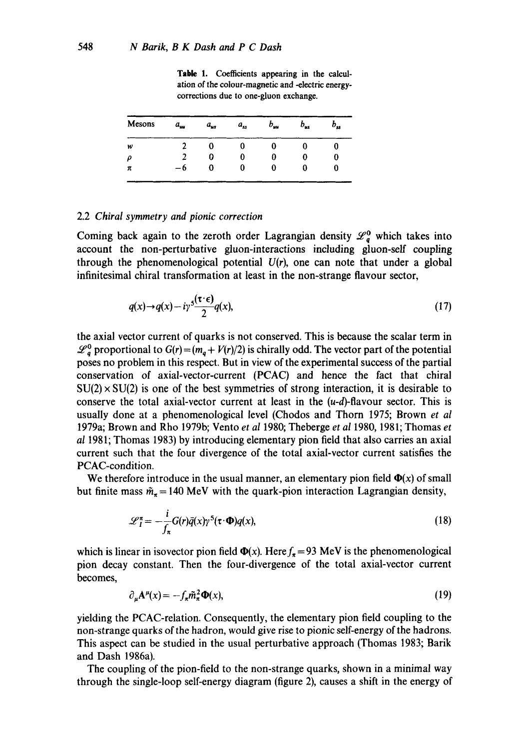Table 1. Coefficients appearing in the calculation of the colour-magnetic and -electric energycorrections due to one-gluon exchange.

| Mesons | а.,, | $a_{us}$ | $a_{ss}$ | $b_{uu}$ | $o_{us}$ | $\bm{o_{ss}}$ |  |
|--------|------|----------|----------|----------|----------|---------------|--|
| w      |      |          | U        | u        | U        | U             |  |
| Ω      |      | υ        | υ        | 0        | U        | U             |  |
| π      | Ð    | O        | 0        | 0        | v        | u             |  |

### 2.2 *Chiral symmetry and pionic correction*

Coming back again to the zeroth order Lagrangian density  $\mathscr{L}_q^0$  which takes into account the non-perturbative gluon-interactions including gluon-self coupling through the phenomenological potential  $U(r)$ , one can note that under a global infinitesimal chiral transformation at least in the non-strange flavour sector,

$$
q(x) \to q(x) - i\gamma \frac{\zeta(\tau \cdot \epsilon)}{2} q(x),\tag{17}
$$

the axial vector current of quarks is not conserved. This is because the scalar term in  $\mathcal{L}_a^0$  proportional to  $G(r) = (m_a + V(r)/2)$  is chirally odd. The vector part of the potential poses no problem in this respect. But in view of the experimental success of the partial conservation of axial-vector-current (PCAC) and hence the fact that chiral  $SU(2) \times SU(2)$  is one of the best symmetries of strong interaction, it is desirable to conserve the total axial-vector current at least in the  $(u-d)$ -flavour sector. This is usually done at a phenomenological level (Chodos and Thorn 1975; Brown *et al*  1979a; Brown and Rho 1979b; Vento *et al* 1980; Theberge *et al* 1980, 1981; Thomas *et al* 1981; Thomas 1983) by introducing elementary pion field that also carries an axial current such that the four divergence of the total axial-vector current satisfies the PCAC-condition.

We therefore introduce in the usual manner, an elementary pion field  $\Phi(x)$  of small but finite mass  $\tilde{m}_{\pi}$  = 140 MeV with the quark-pion interaction Lagrangian density,

$$
\mathscr{L}_I^{\pi} = -\frac{i}{f_{\pi}} G(r) \bar{q}(x) \gamma^5(\tau \cdot \Phi) q(x), \qquad (18)
$$

which is linear in isovector pion field  $\Phi(x)$ . Here  $f_{\pi} = 93$  MeV is the phenomenological pion decay constant. Then the four-divergence of the total axial-vector current becomes,

$$
\partial_{\mu} \mathbf{A}^{\mu}(\mathbf{x}) = -f_{\mathbf{x}} \tilde{m}_{\pi}^2 \mathbf{\Phi}(\mathbf{x}),\tag{19}
$$

yielding the PCAC-relation. Consequently, the elementary pion field coupling to the non-strange quarks of the hadron, would give rise to pionic self-energy of the hadrons. This aspect can be studied in the usual perturbative approach (Thomas 1983; Barik and Dash 1986a).

The coupling of the pion-field to the non-strange quarks, shown in a minimal way through the single-loop self-energy diagram (figure 2), causes a shift in the energy of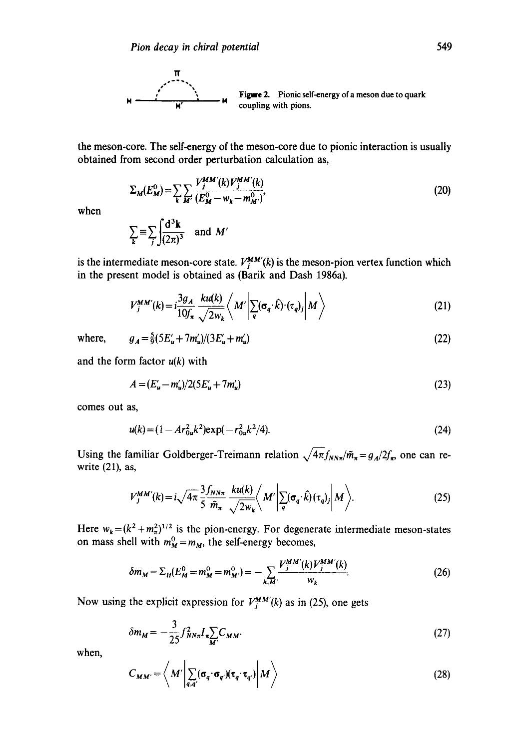

the meson-core. The self-energy of the meson-core due to pionic interaction is usually obtained from second order perturbation calculation as,

$$
\Sigma_M(E_M^0) = \sum_k \sum_{M'} \frac{V_j^{MM'}(k)V_j^{MM'}(k)}{(E_M^0 - w_k - m_M^0)},
$$
\n(20)

when

$$
\sum_{\mathbf{k}} \equiv \sum_{j} \frac{d^3 \mathbf{k}}{(2\pi)^3} \quad \text{and} \ \mathbf{M}'
$$

is the intermediate meson-core state.  $V_j^{MM'}(k)$  is the meson-pion vertex function which in the present model is obtained as (Barik and Dash 1986a).

$$
V_j^{MM'}(k) = i \frac{3g_A}{10f_\pi} \frac{k u(k)}{\sqrt{2w_k}} \left\langle M' \left| \sum_q (\sigma_q \cdot \hat{k}) \cdot (\tau_q)_j \right| M \right\rangle \tag{21}
$$

where,  $g_A = \frac{5}{9}(5E_u + 7m_u)/(3E_u + m_u')$  (22)

and the form factor *u(k)* with

$$
A = (E'_u - m'_u)/2(5E'_u + 7m'_u)
$$
\n(23)

comes out as,

$$
u(k) = (1 - Ar_{0u}^2 k^2) \exp(-r_{0u}^2 k^2/4). \tag{24}
$$

Using the familiar Goldberger-Treimann relation  $\sqrt{4\pi} f_{NN\pi}/m_{\pi} = g_A/2f_{\pi}$ , one can rewrite (21), as,

$$
V_j^{MM'}(k) = i\sqrt{4\pi} \frac{3f_{NN\pi}}{5} \frac{k\mu(k)}{\tilde{m}_{\pi}} \left\langle M' \left| \sum_q (\sigma_q \cdot \hat{k})(\tau_q)_j \right| M \right\rangle. \tag{25}
$$

Here  $w_k = (k^2 + m_\pi^2)^{1/2}$  is the pion-energy. For degenerate intermediate meson-states on mass shell with  $m_M^0 = m_M$ , the self-energy becomes,

$$
\delta m_M = \Sigma_H (E_M^0 = m_M^0 = m_{M'}^0) = -\sum_{k,M'} \frac{V_J^{MM'}(k)V_J^{MM'}(k)}{w_k}.
$$
 (26)

Now using the explicit expression for  $V_j^{MM'}(k)$  as in (25), one gets

$$
\delta m_M = -\frac{3}{25} f_{NN\pi}^2 I_{\pi} \sum_{M'} C_{MM'} \tag{27}
$$

when,

$$
C_{MM'} = \left\langle M' \left| \sum_{q,q'} (\sigma_q \cdot \sigma_{q'}) (\tau_q \cdot \tau_{q'}) \right| M \right\rangle \tag{28}
$$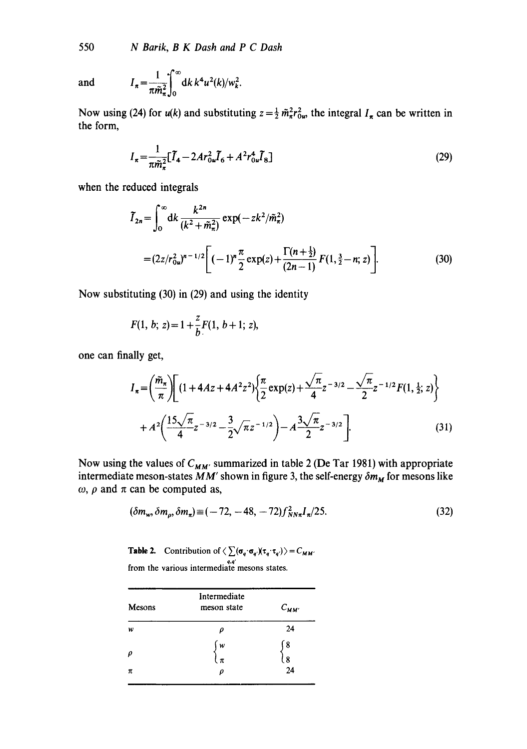550 *N Batik, B K Dash and P C Dash* 

and 
$$
I_{\pi} = \frac{1}{\pi \tilde{m}_{\pi}^2} \int_0^{\infty} dk \, k^4 u^2(k) / w_k^2.
$$

Now using (24) for  $u(k)$  and substituting  $z = \frac{1}{2} m_\pi^2 r_{0\nu}^2$ , the integral  $I_\pi$  can be written in the form,

$$
I_{\pi} = \frac{1}{\pi \tilde{m}_{\pi}^2} [\tilde{I}_4 - 2Ar_{0u}^2 \tilde{I}_6 + A^2 r_{0u}^4 \tilde{I}_8]
$$
(29)

when the reduced integrals

$$
\widetilde{I}_{2n} = \int_0^\infty dk \, \frac{k^{2n}}{(k^2 + \widetilde{m}_n^2)} \exp(-zk^2/\widetilde{m}_n^2)
$$
  
=  $(2z/r_{0u}^2)^{n-1/2} \Big[ (-1)^n \frac{\pi}{2} \exp(z) + \frac{\Gamma(n + \frac{1}{2})}{(2n-1)} F(1, \frac{3}{2} - n; z) \Big].$  (30)

Now substituting (30) in (29) and using the identity

$$
F(1, b; z) = 1 + \frac{z}{b} F(1, b+1; z),
$$

one can finally get,

$$
I_{\pi} = \left(\frac{\tilde{m}_{\pi}}{\pi}\right) \left[ (1 + 4Az + 4A^{2}z^{2}) \left\{\frac{\pi}{2} \exp(z) + \frac{\sqrt{\pi}}{4} z^{-3/2} - \frac{\sqrt{\pi}}{2} z^{-1/2} F(1, \frac{1}{2}; z) \right\} + A^{2} \left( \frac{15\sqrt{\pi}}{4} z^{-3/2} - \frac{3}{2}\sqrt{\pi} z^{-1/2} \right) - A^{3} \frac{\sqrt{\pi}}{2} z^{-3/2} \left].
$$
 (31)

Now using the values of  $C_{MM'}$  summarized in table 2 (De Tar 1981) with appropriate intermediate meson-states  $\overline{M}M'$  shown in figure 3, the self-energy  $\delta m_M$  for mesons like  $\omega$ ,  $\rho$  and  $\pi$  can be computed as,

$$
(\delta m_w, \delta m_\rho, \delta m_\pi) \equiv (-72, -48, -72) f_{NN\pi}^2 I_\pi / 25. \tag{32}
$$

**Table 2.** Contribution of  $\langle \sum (\sigma_q \cdot \sigma_q)(\tau_q \cdot \tau_q) \rangle = C_{MM'}$ *q,q' q.q'* from the various intermediate mesons states.

| Mesons | Intermediate<br>meson state | $C_{MM'}$ |  |
|--------|-----------------------------|-----------|--|
| w      | ρ                           | 24        |  |
| $\rho$ | w<br>ίπ                     | ſ8<br>l 8 |  |
| π      | o                           | 24        |  |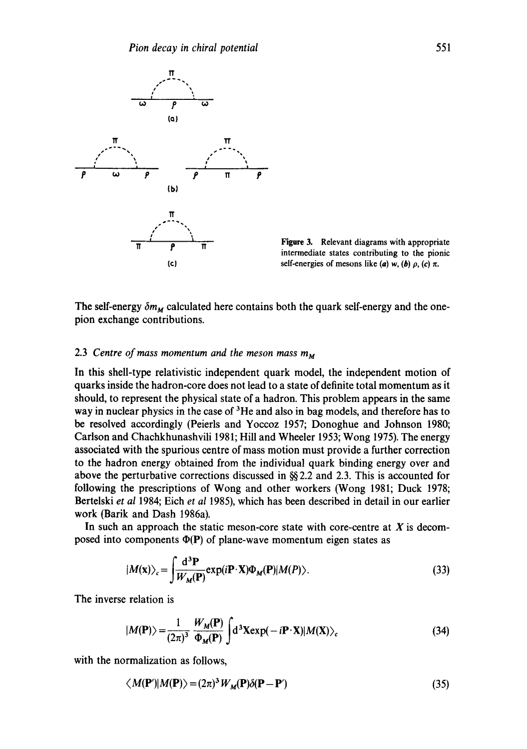

Figure 3. Relevant diagrams with appropriate intermediate states contributing to the pionic self-energies of mesons like (a) w, (b)  $\rho$ , (c)  $\pi$ .

The self-energy  $\delta m_M$  calculated here contains both the quark self-energy and the onepion exchange contributions.

## 2.3 *Centre of mass momentum and the meson mass m u*

In this shell-type relativistic independent quark model, the independent motion of quarks inside the hadron-core does not lead to a state of definite total momentum as it should, to represent the physical state of a hadron. This problem appears in the same way in nuclear physics in the case of  ${}^{3}$ He and also in bag models, and therefore has to be resolved accordingly (Peierls and Yoccoz 1957; Donoghue and Johnson 1980; Carlson and Chachkhunashvili 1981; Hill and Wheeler 1953; Wong 1975). The energy associated with the spurious centre of mass motion must provide a further correction to the hadron energy obtained from the individual quark binding energy over and above the perturbative corrections discussed in  $\S$  2.2 and 2.3. This is accounted for following the prescriptions of Wong and other workers (Wong 1981; Duck 1978; Bertelski *et al* 1984; Eich *et al* 1985), which has been described in detail in our earlier work (Barik and Dash 1986a).

In such an approach the static meson-core state with core-centre at  $X$  is decomposed into components  $\Phi(P)$  of plane-wave momentum eigen states as

$$
|M(\mathbf{x})\rangle_c = \int \frac{\mathrm{d}^3 \mathbf{P}}{W_M(\mathbf{P})} \exp(i\mathbf{P} \cdot \mathbf{X}) \Phi_M(\mathbf{P}) |M(P)\rangle.
$$
 (33)

The inverse relation is

$$
|M(\mathbf{P})\rangle = \frac{1}{(2\pi)^3} \frac{W_M(\mathbf{P})}{\Phi_M(\mathbf{P})} \int d^3 \mathbf{X} \exp(-i\mathbf{P} \cdot \mathbf{X}) |M(\mathbf{X})\rangle_c
$$
 (34)

with the normalization as follows,

$$
\langle M(\mathbf{P}')|M(\mathbf{P})\rangle = (2\pi)^3 W_M(\mathbf{P})\delta(\mathbf{P}-\mathbf{P}')\tag{35}
$$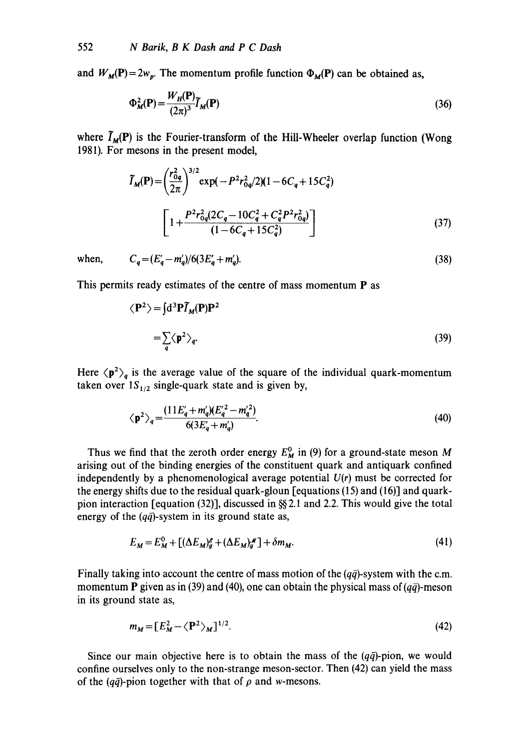and  $W_M(\mathbf{P}) = 2w_p$ . The momentum profile function  $\Phi_M(\mathbf{P})$  can be obtained as,

$$
\Phi_M^2(\mathbf{P}) = \frac{W_H(\mathbf{P})}{(2\pi)^3} \tilde{I}_M(\mathbf{P})
$$
\n(36)

where  $\tilde{I}_M(P)$  is the Fourier-transform of the Hill-Wheeler overlap function (Wong 1981). For mesons in the present model,

$$
\widetilde{I}_{M}(\mathbf{P}) = \left(\frac{r_{0q}^{2}}{2\pi}\right)^{3/2} \exp\left(-P^{2}r_{0q}^{2}/2\right)\left(1 - 6C_{q} + 15C_{q}^{2}\right)
$$
\n
$$
\left[1 + \frac{P^{2}r_{0q}^{2}\left(2C_{q} - 10C_{q}^{2} + C_{q}^{2}P^{2}r_{0q}^{2}\right)}{\left(1 - 6C_{q} + 15C_{q}^{2}\right)}\right]
$$
\n(37)

when,  $C_a = (E'_a - m'_a)/6(3E'_a + m'_a)$ . (38)

This permits ready estimates of the centre of mass momentum P as

$$
\langle \mathbf{P}^2 \rangle = \int d^3 \mathbf{P} \tilde{\mathbf{I}}_M(\mathbf{P}) \mathbf{P}^2
$$
  
=  $\sum_q \langle \mathbf{p}^2 \rangle_q$ . (39)

Here  $\langle p^2 \rangle_q$  is the average value of the square of the individual quark-momentum taken over  $1S_{1/2}$  single-quark state and is given by,

$$
\langle \mathbf{p}^2 \rangle_q = \frac{(11E'_q + m'_q)(E'_q - m'_q^2)}{6(3E'_q + m'_q)}.
$$
\n(40)

Thus we find that the zeroth order energy  $E_M^0$  in (9) for a ground-state meson M arising out of the binding energies of the constituent quark and antiquark confined independently by a phenomenological average potential  $U(r)$  must be corrected for the energy shifts due to the residual quark-gloun [equations (15) and (16)] and quarkpion interaction [equation (32)], discussed in  $\frac{8}{3}$  2.1 and 2.2. This would give the total energy of the  $(q\bar{q})$ -system in its ground state as,

$$
E_M = E_M^0 + \left[ (\Delta E_M)_g^{\sigma} + (\Delta E_M)_g^{\omega} \right] + \delta m_M. \tag{41}
$$

Finally taking into account the centre of mass motion of the  $(q\bar{q})$ -system with the c.m. momentum **P** given as in (39) and (40), one can obtain the physical mass of  $(q\bar{q})$ -meson in its ground state as,

$$
m_M = \left[ E_M^2 - \langle \mathbf{P}^2 \rangle_M \right]^{1/2}.
$$
 (42)

Since our main objective here is to obtain the mass of the  $(q\bar{q})$ -pion, we would confine ourselves only to the non-strange meson-sector. Then (42) can yield the mass of the  $(q\bar{q})$ -pion together with that of  $\rho$  and w-mesons.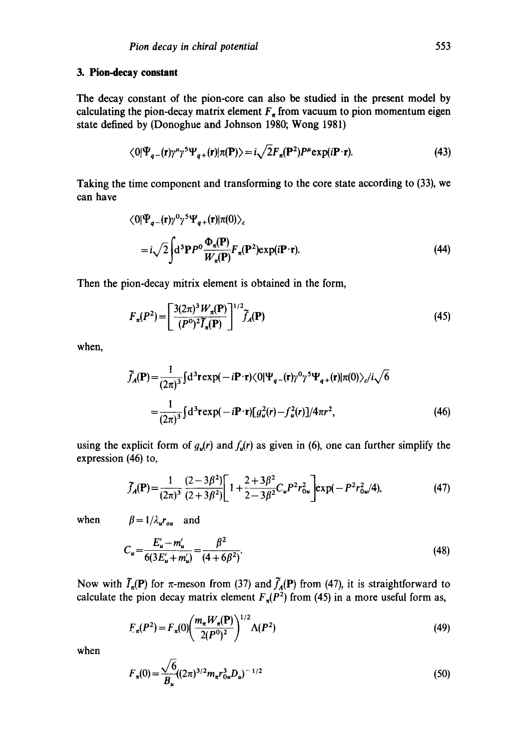# **3. Pion-decay constant**

The decay constant of the pion-core can also be studied in the present model by calculating the pion-decay matrix element  $F<sub>x</sub>$  from vacuum to pion momentum eigen state defined by (Donoghue and Johnson 1980; Wong 1981)

$$
\langle 0|\Psi_{q-}(\mathbf{r})\gamma^{\mu}\gamma^{5}\Psi_{q+}(\mathbf{r})|\pi(\mathbf{P})\rangle = i\sqrt{2}F_{\pi}(\mathbf{P}^{2})P^{\mu}\exp(i\mathbf{P}\cdot\mathbf{r}).
$$
\n(43)

Taking the time component and transforming to the core state according to (33), we can have

$$
\langle 0|\Psi_{q-}(\mathbf{r})\gamma^0\gamma^5\Psi_{q+}(\mathbf{r})|\pi(0)\rangle_c
$$
  
= $i\sqrt{2}\int d^3\mathbf{P}P^0\frac{\Phi_{\pi}(\mathbf{P})}{W_{\pi}(\mathbf{P})}F_{\pi}(\mathbf{P}^2)\exp(i\mathbf{P}\cdot\mathbf{r}).$  (44)

Then the pion-decay mitrix element is obtained in the form,

$$
F_{\pi}(P^2) = \left[\frac{3(2\pi)^3 W_{\pi}(P)}{(P^0)^2 \widetilde{I}_{\pi}(P)}\right]^{1/2} \widetilde{f}_{\Lambda}(P) \tag{45}
$$

when,

$$
\widetilde{f}_A(\mathbf{P}) = \frac{1}{(2\pi)^3} \int d^3 \mathbf{r} \exp(-i\mathbf{P} \cdot \mathbf{r}) \langle 0 | \Psi_{q-}(\mathbf{r}) \rangle^0 \gamma^5 \Psi_{q+}(\mathbf{r}) | \pi(0) \rangle_c / i \sqrt{6}
$$

$$
= \frac{1}{(2\pi)^3} \int d^3 \mathbf{r} \exp(-i\mathbf{P} \cdot \mathbf{r}) [g_u^2(r) - f_u^2(r)] / 4\pi r^2,
$$
(46)

using the explicit form of  $g_u(r)$  and  $f_u(r)$  as given in (6), one can further simplify the expression (46) to,

$$
\widetilde{f}_A(\mathbf{P}) = \frac{1}{(2\pi)^3} \frac{(2-3\beta^2)}{(2+3\beta^2)} \left[ 1 + \frac{2+3\beta^2}{2-3\beta^2} C_u P^2 r_{0u}^2 \right] \exp(-P^2 r_{0u}^2/4),\tag{47}
$$

when  $\beta = 1/\lambda_u r_{ou}$  and

$$
C_u = \frac{E'_u - m'_u}{6(3E'_u + m'_u)} = \frac{\beta^2}{(4 + 6\beta^2)}.
$$
\n(48)

Now with  $\tilde{I}_n(P)$  for  $\pi$ -meson from (37) and  $\tilde{J}_n(P)$  from (47), it is straightforward to calculate the pion decay matrix element  $F<sub>\pi</sub>(P<sup>2</sup>)$  from (45) in a more useful form as,

$$
F_{\pi}(P^2) = F_{\pi}(0) \left( \frac{m_{\pi} W_{\pi}(P)}{2(P^0)^2} \right)^{1/2} \Lambda(P^2)
$$
\n(49)

when

$$
F_{\pi}(0) = \frac{\sqrt{6}}{B_{u}} ((2\pi)^{3/2} m_{\pi} r_{0u}^{3} D_{u})^{-1/2}
$$
\n(50)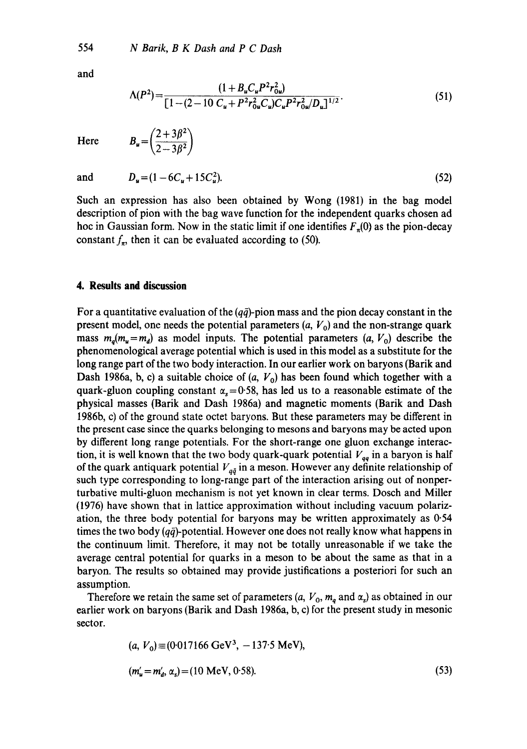$B_u = \left(\frac{2+3\beta^2}{2-3\beta^2}\right)$ 

and

$$
\Lambda(P^2) = \frac{(1 + B_u C_u P^2 r_{0u}^2)}{[1 - (2 - 10 C_u + P^2 r_{0u}^2 C_u) C_u P^2 r_{0u}^2 / D_u]^{1/2}}.
$$
\n(51)

**Here** 

and  $D_u = (1 - 6C_u + 15C_u^2)$ . (52)

Such an expression has also been obtained by Wong (1981) in the bag model description of pion with the bag wave function for the independent quarks chosen ad hoc in Gaussian form. Now in the static limit if one identifies  $F_n(0)$  as the pion-decay constant  $f_{\pi}$ , then it can be evaluated according to (50).

# **4. Results and discussion**

For a quantitative evaluation of the  $(q\bar{q})$ -pion mass and the pion decay constant in the present model, one needs the potential parameters  $(a, V_0)$  and the non-strange quark mass  $m_q(m_u=m_d)$  as model inputs. The potential parameters  $(a, V_0)$  describe the phenomenological average potential which is used in this model as a substitute for the long range part of the two body interaction. In our earlier work on baryons (Barik and Dash 1986a, b, c) a suitable choice of  $(a, V_0)$  has been found which together with a quark-gluon coupling constant  $\alpha_s = 0.58$ , has led us to a reasonable estimate of the physical masses (Barik and Dash 1986a) and magnetic moments (Barik and Dash 1986b, c) of the ground state octet baryons. But these parameters may be different in the present case since the quarks belonging to mesons and baryons may be acted upon by different long range potentials. For the short-range one gluon exchange interaction, it is well known that the two body quark-quark potential  $V_{qa}$  in a baryon is half of the quark antiquark potential  $V_{q\bar{q}}$  in a meson. However any definite relationship of such type corresponding to long-range part of the interaction arising out of nonperturbative multi-gluon mechanism is not yet known in clear terms. Dosch and Miller (1976) have shown that in lattice approximation without including vacuum polarization, the three body potential for baryons may be written approximately as 0.54 times the two body  $(q\bar{q})$ -potential. However one does not really know what happens in the continuum limit. Therefore, it may not be totally unreasonable if we take the average central potential for quarks in a meson to be about the same as that in a baryon. The results so obtained may provide justifications a posteriori for such an assumption.

Therefore we retain the same set of parameters  $(a, V_0, m_a \text{ and } \alpha_s)$  as obtained in our earlier work on baryons (Barik and Dash 1986a, b, c) for the present study in mesonic sector.

$$
(a, V_0) \equiv (0.017166 \text{ GeV}^3, -137.5 \text{ MeV}),
$$
  
\n
$$
(m'_u = m'_d, \alpha_s) = (10 \text{ MeV}, 0.58).
$$
 (53)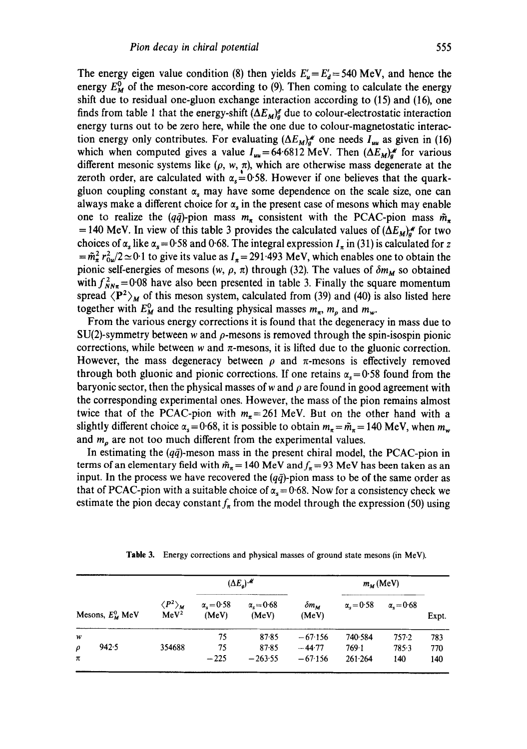The energy eigen value condition (8) then yields  $E'_{\mu} = E'_{d} = 540$  MeV, and hence the energy  $E_M^0$  of the meson-core according to (9). Then coming to calculate the energy shift due to residual one-gluon exchange interaction according to (15) and (16), one finds from table 1 that the energy-shift  $(\Delta E_M)_{a}^{\sigma}$  due to colour-electrostatic interaction energy turns out to be zero here, while the one due to colour-magnetostatic interaction energy only contributes. For evaluating  $(\Delta E_M)_d^{\mathcal{M}}$  one needs  $I_{uu}$  as given in (16) which when computed gives a value  $I_{uu} = 64.6812$  MeV. Then  $(\Delta E_M)^{4}$  for various different mesonic systems like  $(\rho, w, \pi)$ , which are otherwise mass degenerate at the zeroth order, are calculated with  $\alpha_s=0.58$ . However if one believes that the quarkgluon coupling constant  $\alpha$ , may have some dependence on the scale size, one can always make a different choice for  $\alpha_s$  in the present case of mesons which may enable one to realize the (qq)-pion mass  $m_{\pi}$  consistent with the PCAC-pion mass  $\tilde{m}_{\pi}$ = 140 MeV. In view of this table 3 provides the calculated values of  $(\Delta E_M)_a^{\alpha}$  for two choices of  $\alpha_s$  like  $\alpha_s = 0.58$  and 0.68. The integral expression  $I_\pi$  in (31) is calculated for z  $=\tilde{m}_\pi^2 r_{0\mu}^2/2 \simeq 0.1$  to give its value as  $I_\pi = 291.493$  MeV, which enables one to obtain the pionic self-energies of mesons  $(w, \rho, \pi)$  through (32). The values of  $\delta m_M$  so obtained with  $f_{NN\pi}^2 = 0.08$  have also been presented in table 3. Finally the square momentum spread  $\langle P^2 \rangle_M$  of this meson system, calculated from (39) and (40) is also listed here together with  $E_M^0$  and the resulting physical masses  $m_\pi$ ,  $m_\rho$  and  $m_\pi$ .

From the various energy corrections it is found that the degeneracy in mass due to  $SU(2)$ -symmetry between w and  $\rho$ -mesons is removed through the spin-isospin pionic corrections, while between w and  $\pi$ -mesons, it is lifted due to the gluonic correction. However, the mass degeneracy between  $\rho$  and  $\pi$ -mesons is effectively removed through both gluonic and pionic corrections. If one retains  $\alpha_s = 0.58$  found from the baryonic sector, then the physical masses of w and  $\rho$  are found in good agreement with the corresponding experimental ones. However, the mass of the pion remains almost twice that of the PCAC-pion with  $m_{\pi}=261$  MeV. But on the other hand with a slightly different choice  $\alpha_s = 0.68$ , it is possible to obtain  $m_\pi = \tilde{m}_\pi = 140$  MeV, when  $m_\pi$ and  $m<sub>\rho</sub>$  are not too much different from the experimental values.

In estimating the  $(q\bar{q})$ -meson mass in the present chiral model, the PCAC-pion in terms of an elementary field with  $\tilde{m}_{\pi}$  = 140 MeV and  $f_{\pi}$  = 93 MeV has been taken as an input. In the process we have recovered the  $(q\bar{q})$ -pion mass to be of the same order as that of PCAC-pion with a suitable choice of  $\alpha_s = 0.68$ . Now for a consistency check we estimate the pion decay constant  $f_{\pi}$  from the model through the expression (50) using

| Mesons, $E^0_{\mathcal{M}}$ MeV |                                                    | $(\Delta E_a)^{\mathcal{M}}$ |                                 |                                    | $m_{\rm M}$ (MeV)            |                              |                   |
|---------------------------------|----------------------------------------------------|------------------------------|---------------------------------|------------------------------------|------------------------------|------------------------------|-------------------|
|                                 | $\langle P^2\rangle_{\pmb{M}}$<br>MeV <sup>2</sup> | $\alpha = 0.58$<br>(MeV)     | $\alpha = 0.68$<br>(MeV)        | $\delta m_{\rm M}$<br>(MeV)        | $\alpha$ <sub>s</sub> = 0.58 | $\alpha$ <sub>r</sub> = 0.68 | Expt.             |
| w<br>942.5<br>$\rho$<br>$\pi$   | 354688                                             | 75<br>75<br>$-225$           | 87.85<br>$87 - 85$<br>$-263.55$ | $-67.156$<br>$-44.77$<br>$-67.156$ | 740-584<br>769-1<br>261.264  | 757.2<br>785.3<br>140        | 783<br>770<br>140 |

**Table** 3. Energy corrections and physical masses of ground state mesons (in MeV).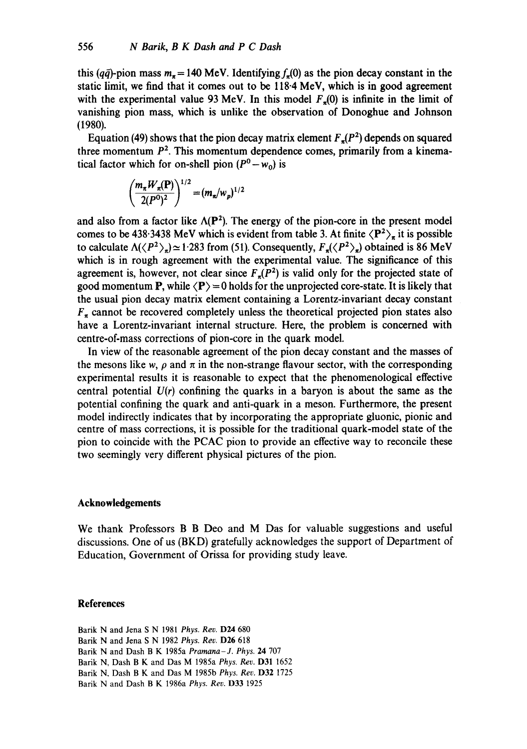this (q $\bar{q}$ )-pion mass  $m_{\pi} = 140$  MeV. Identifying  $f_{\pi}(0)$  as the pion decay constant in the static limit, we find that it comes out to be 118-4 MeV, which is in good agreement with the experimental value 93 MeV. In this model  $F<sub>z</sub>(0)$  is infinite in the limit of vanishing pion mass, which is unlike the observation of Donoghue and Johnson (1980).

Equation (49) shows that the pion decay matrix element  $F<sub>n</sub>(P<sup>2</sup>)$  depends on squared three momentum  $P<sup>2</sup>$ . This momentum dependence comes, primarily from a kinematical factor which for on-shell pion  $(P^0 - w_0)$  is

$$
\left(\frac{m_{\pi}W_{\pi}(\mathbf{P})}{2(P^0)^2}\right)^{1/2} = (m_{\pi}/w_p)^{1/2}
$$

and also from a factor like  $\Lambda(P^2)$ . The energy of the pion-core in the present model comes to be 438.3438 MeV which is evident from table 3. At finite  $\langle P^2 \rangle_{\pi}$  it is possible to calculate  $\Lambda(\langle P^2 \rangle_a) \simeq 1.283$  from (51). Consequently,  $F_a(\langle P^2 \rangle_a)$  obtained is 86 MeV which is in rough agreement with the experimental value. The significance of this agreement is, however, not clear since  $F<sub>\pi</sub>(P<sup>2</sup>)$  is valid only for the projected state of good momentum P, while  $\langle P \rangle = 0$  holds for the unprojected core-state. It is likely that the usual pion decay matrix element containing a Lorentz-invariant decay constant  $F<sub>z</sub>$  cannot be recovered completely unless the theoretical projected pion states also have a Lorentz-invariant internal structure. Here, the problem is concerned with centre-of-mass corrections of pion-core in the quark model.

In view of the reasonable agreement of the pion decay constant and the masses of the mesons like w,  $\rho$  and  $\pi$  in the non-strange flavour sector, with the corresponding experimental results it is reasonable to expect that the phenomenological effective central potential *U(r)* confining the quarks in a baryon is about the same as the potential confining the quark and anti-quark in a meson. Furthermore, the present model indirectly indicates that by incorporating the appropriate gluonic, pionic and centre of mass corrections, it is possible for the traditional quark-model state of the pion to coincide with the PCAC pion to provide an effective way to reconcile these two seemingly very different physical pictures of the pion.

# **Acknowledgements**

We thank Professors B B Deo and M Das for valuable suggestions and useful discussions. One of us (BKD) gratefully acknowledges the support of Department of Education, Government of Orissa for providing study leave.

# **References**

Barik N and Jena S N 1981 *Phys. Rev.* D24 680 Barik N and Jena S N 1982 *Phys. Rev.* D26 618 Barik N and Dash B K 1985a *Pramana-J. Phys.* 24 707 Barik N, Dash B K and Das M 1985a *Phys. Rev.* D31 1652 Barik N, Dash B K and Das M 1985b *Phys. Rev.* D32 1725 Barik N and Dash B K 1986a *Phys. Rev.* D33 1925